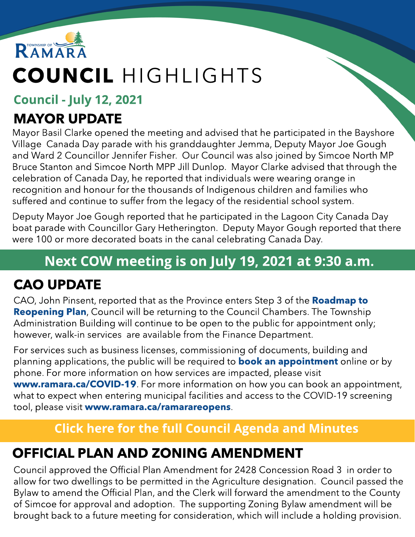

# COUNCIL HIGHLIGHTS

Council - July 12, 2021

### MAYOR UPDATE

Mayor Basil Clarke opened the meeting and advised that he participated in the Bayshore Village Canada Day parade with his granddaughter Jemma, Deputy Mayor Joe Gough and Ward 2 Councillor Jennifer Fisher. Our Council was also joined by Simcoe North MP Bruce Stanton and Simcoe North MPP Jill Dunlop. Mayor Clarke advised that through the celebration of Canada Day, he reported that individuals were wearing orange in recognition and honour for the thousands of Indigenous children and families who suffered and continue to suffer from the legacy of the residential school system.

Deputy Mayor Joe Gough reported that he participated in the Lagoon City Canada Day boat parade with Councillor Gary Hetherington. Deputy Mayor Gough reported that there were 100 or more decorated boats in the canal celebrating Canada Day.

### Next COW meeting is on July 19, 2021 at 9:30 a.m.

## CAO UPDATE

CAO, John Pinsent, reported that as the Province enters Step 3 of the [Roadmap](https://www.ontario.ca/page/reopening-ontario) [to](https://www.ontario.ca/page/reopening-ontario) **[Reopening](https://www.ontario.ca/page/reopening-ontario) [Plan](https://www.ontario.ca/page/reopening-ontario)**, Council will be returning to the Council Chambers. The Township Administration Building will continue to be open to the public for appointment only; however, walk-in services are available from the Finance Department.

For services such as business licenses, commissioning of documents, building and pl[an](https://www.ramara.ca/en/municipal-office/booking-an-appointment.aspx)ning applications, the public will be required to **[book](https://www.ramara.ca/en/municipal-office/booking-an-appointment.aspx) an [appointment](https://www.ramara.ca/en/municipal-office/booking-an-appointment.aspx)** online or by phone. For more information on how services are impacted, please visit **ww[w.ramara.ca/COVID-19](https://www.ramara.ca/en/municipal-office/covid-19.aspx)**. For more information on how you can book an appointment, what to expect when entering municipal facilities and access to the COVID-19 screening tool, please visit ww[w.ramara.ca/ramarareopens](http://www.ramara.ca/ramarareopens).

#### **[Click](https://ramara.civicweb.net/portal/) [here](https://ramara.civicweb.net/portal/) [for](https://ramara.civicweb.net/portal/) t[he](https://ramara.civicweb.net/portal/) [full](https://ramara.civicweb.net/portal/) [Council](https://ramara.civicweb.net/portal/) [Agenda](https://ramara.civicweb.net/portal/) [and](https://ramara.civicweb.net/portal/) [Minut](https://ramara.civicweb.net/portal/)es**

#### OFFICIAL PLAN AND ZONING AMENDMENT

Council approved the Official Plan Amendment for 2428 Concession Road 3 in order to allow for two dwellings to be permitted in the Agriculture designation. Council passed the Bylaw to amend the Official Plan, and the Clerk will forward the amendment to the County of Simcoe for approval and adoption. The supporting Zoning Bylaw amendment will be brought back to a future meeting for consideration, which will include a holding provision.